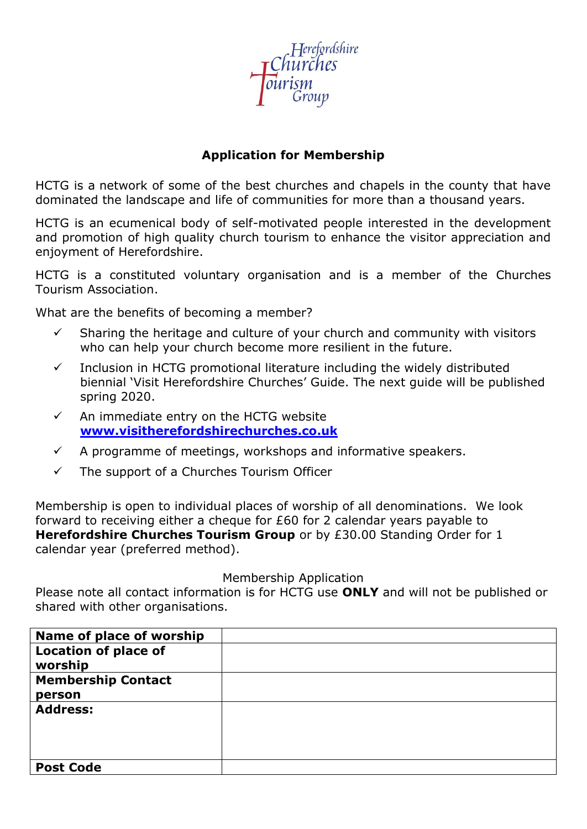

## **Application for Membership**

HCTG is a network of some of the best churches and chapels in the county that have dominated the landscape and life of communities for more than a thousand years.

HCTG is an ecumenical body of self-motivated people interested in the development and promotion of high quality church tourism to enhance the visitor appreciation and enjoyment of Herefordshire.

HCTG is a constituted voluntary organisation and is a member of the Churches Tourism Association.

What are the benefits of becoming a member?

- $\checkmark$  Sharing the heritage and culture of your church and community with visitors who can help your church become more resilient in the future.
- $\checkmark$  Inclusion in HCTG promotional literature including the widely distributed biennial 'Visit Herefordshire Churches' Guide. The next guide will be published spring 2020.
- $\checkmark$  An immediate entry on the HCTG website **[www.visitherefordshirechurches.co.uk](http://www.visitherefordshirechurches.co.uk/)**
- $\checkmark$  A programme of meetings, workshops and informative speakers.
- $\checkmark$  The support of a Churches Tourism Officer

Membership is open to individual places of worship of all denominations. We look forward to receiving either a cheque for £60 for 2 calendar years payable to **Herefordshire Churches Tourism Group** or by £30.00 Standing Order for 1 calendar year (preferred method).

Membership Application

Please note all contact information is for HCTG use **ONLY** and will not be published or shared with other organisations.

| Name of place of worship    |  |
|-----------------------------|--|
| <b>Location of place of</b> |  |
| worship                     |  |
| <b>Membership Contact</b>   |  |
| person                      |  |
| <b>Address:</b>             |  |
|                             |  |
|                             |  |
|                             |  |
| <b>Post Code</b>            |  |